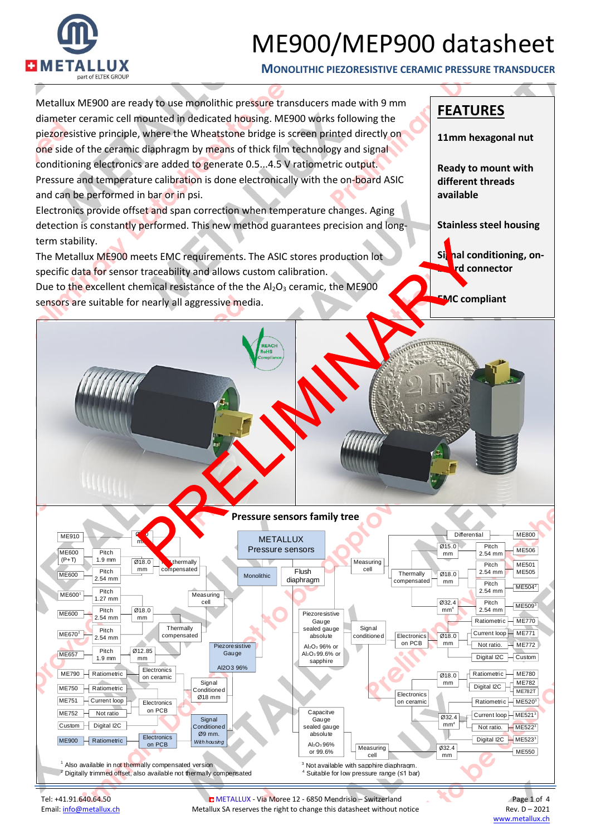

**MONOLITHIC PIEZORESISTIVE CERAMIC PRESSURE TRANSDUCER**



Tel: +41.91.640.64.50 METALLUX - Via Moree 12 - 6850 Mendrisio – Switzerland Page 1 of 4 Email[: info@metallux.ch](mailto:info@metallux.ch) Metallux SA reserves the right to change this datasheet without notice Rev. D – 2021<br>www.metallux.ch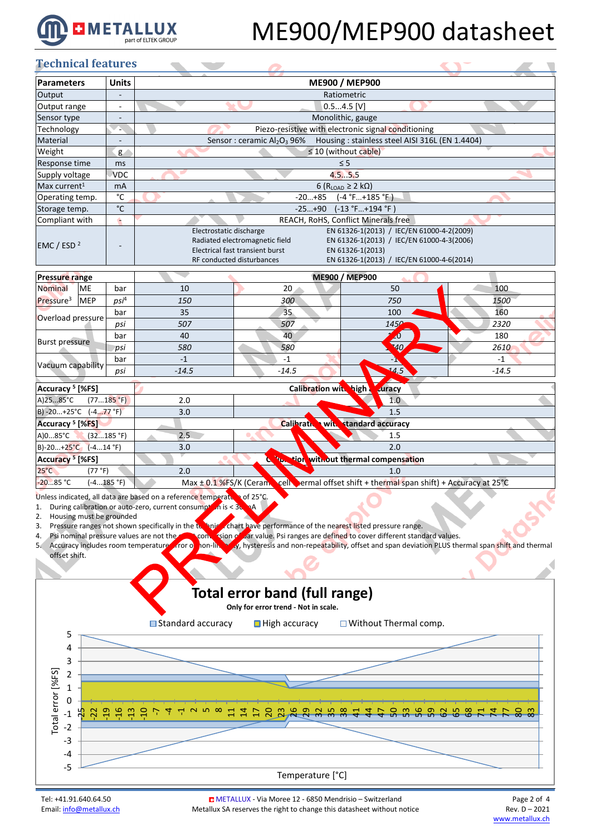

#### **Technical features**

| Technical features       |                          |                                                                                                                                                                                                                                                                                      |
|--------------------------|--------------------------|--------------------------------------------------------------------------------------------------------------------------------------------------------------------------------------------------------------------------------------------------------------------------------------|
| <b>Parameters</b>        | <b>Units</b>             | ME900 / MEP900                                                                                                                                                                                                                                                                       |
| Output                   |                          | Ratiometric                                                                                                                                                                                                                                                                          |
| Output range             | $\overline{\phantom{a}}$ | $0.54.5$ [V]                                                                                                                                                                                                                                                                         |
| Sensor type              |                          | Monolithic, gauge                                                                                                                                                                                                                                                                    |
| Technology               |                          | Piezo-resistive with electronic signal conditioning                                                                                                                                                                                                                                  |
| Material                 |                          | Housing: stainless steel AISI 316L (EN 1.4404)<br>Sensor: ceramic Al <sub>2</sub> O <sub>3</sub> 96%                                                                                                                                                                                 |
| Weight                   | g                        | $\leq$ 10 (without cable)                                                                                                                                                                                                                                                            |
| Response time            | ms                       | $\leq$ 5                                                                                                                                                                                                                                                                             |
| Supply voltage           | <b>VDC</b>               | 4.55.5                                                                                                                                                                                                                                                                               |
| Max current <sup>1</sup> | mA                       | 6 ( $R_{LOAD} \geq 2$ k $\Omega$ )                                                                                                                                                                                                                                                   |
| Operating temp.          | °C                       | $(-4 °F+185 °F)$<br>$-20+85$                                                                                                                                                                                                                                                         |
| Storage temp.            | $^{\circ}$ C             | $-25+90$ $(-13 °F+194 °F)$                                                                                                                                                                                                                                                           |
| Compliant with           | é.                       | REACH, RoHS, Conflict Minerals free                                                                                                                                                                                                                                                  |
| EMC / ESD $2$            |                          | EN 61326-1(2013) / IEC/EN 61000-4-2(2009)<br>Electrostatic discharge<br>Radiated electromagnetic field<br>EN 61326-1(2013) / IEC/EN 61000-4-3(2006)<br>Electrical fast transient burst<br>EN 61326-1(2013)<br>EN 61326-1(2013) / IEC/EN 61000-4-6(2014)<br>RF conducted disturbances |

| <b>Pressure range</b> |            |         | ME900 / MEP900 |                      |            |      |  |  |
|-----------------------|------------|---------|----------------|----------------------|------------|------|--|--|
| Nominal               | <b>ME</b>  | bar     | 10             | 20                   | 50         | 100  |  |  |
| Pressure <sup>3</sup> | <b>MEP</b> | $psi^4$ | 150            | 300                  | 750        | 1500 |  |  |
|                       |            | bar     | 35             | 35                   | 100        | 160  |  |  |
| Overload pressure     |            | psi     | 507            | 507                  | 1456       | 2320 |  |  |
|                       |            | bar     | 40             | 40                   | zυ         | 180  |  |  |
| <b>Burst pressure</b> |            | psi     | 580            | 580                  | <b>140</b> | 2610 |  |  |
|                       |            | bar     |                | -1                   | - 19       | -1   |  |  |
| Vacuum capability     | psi        | $-14.5$ | $-14.5$        | $\blacktriangle$ 4.5 | $-14.5$    |      |  |  |

| Accuracy <sup>5</sup> [%FS]    |                                                |                                                                                               |  |  |  |
|--------------------------------|------------------------------------------------|-----------------------------------------------------------------------------------------------|--|--|--|
| A)2585°C<br>(77185 °F)         | 2.0                                            | 1.0                                                                                           |  |  |  |
| $B) - 20 + 25°C$ $(-477 °F)$   | 3.0                                            | 1.5                                                                                           |  |  |  |
| Accuracy <sup>5</sup> [%FS]    | Calibrath<br><b>Extandard accuracy</b><br>with |                                                                                               |  |  |  |
| $A)085^{\circ}C$<br>(32185 °F) | 2.5                                            | 1.5                                                                                           |  |  |  |
| $B$ -20+25°C (-414 °F)         | 3.0                                            | 2.0                                                                                           |  |  |  |
| Accuracy <sup>5</sup> [%FS]    |                                                | <b>The tion without thermal compensation</b>                                                  |  |  |  |
| $25^{\circ}$ C<br>(77 °F)      | 2.0                                            | 1.0                                                                                           |  |  |  |
| $-2085 °C$<br>(-4185 °F)       |                                                | Max $\pm$ 0.1% FS/K (Ceram, cell, ermal offset shift + thermal span shift) + Accuracy at 25°C |  |  |  |

Unless indicated, all data are based on a reference temperature of 25°C.

- 1. During calibration or auto-zero, current consumption is  $<$  3
- 
- 2. Housing must be grounded<br>3. Pressure ranges not shown specifically in the te 3. Pressure ranges not shown specifically in the technical chart have performance of the nearest listed pressure range.<br>4. Psi nominal pressure values are not the strong strong sign of the nearest are defined to cover diff
- 4. Psi nominal pressure values are not the exact conversion of bar value. Psi ranges are defined to cover different standard values.
- 5. Accuracy includes room temperature from of non-linearity, hysteresis and non-repeatability, offset and span deviation PLUS thermal span shift and thermal offset shift.

### **Total error band (full range)**

**Only for error trend - Not in scale.**



Tel: +41.91.640.64.50 **COMETALLUX - Via Moree 12 - 6850 Mendrisio** – Switzerland Page 2 of 4<br>Email: info@metallux.ch Metallux SA reserves the right to change this datasheet without notice Rev. D – 2021 Email[: info@metallux.ch](mailto:info@metallux.ch) Metallux SA reserves the right to change this datasheet without notice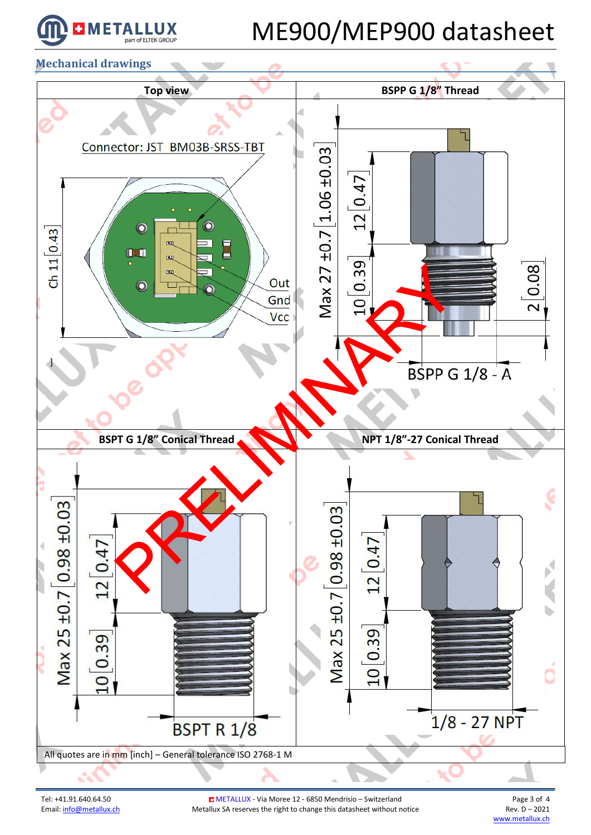

**Mechanical drawings**